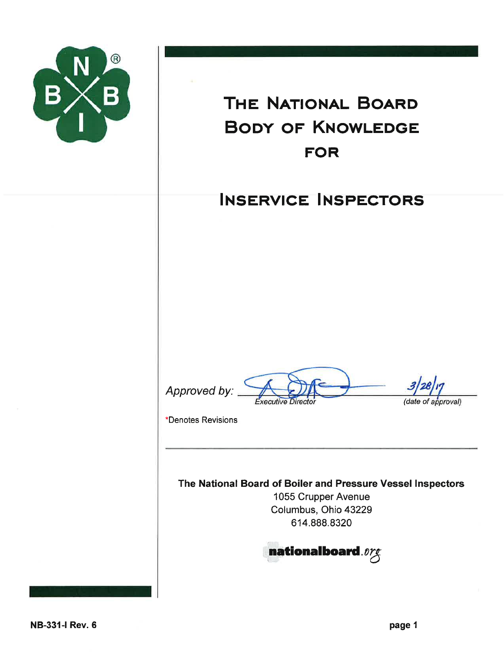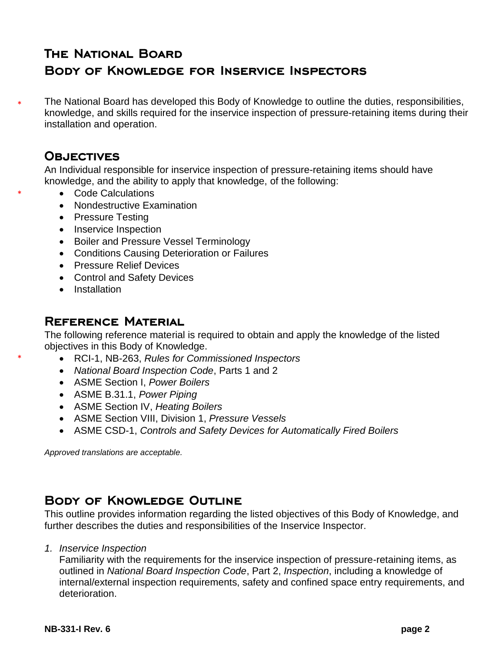# **THE NATIONAL BOARD BODY OF KNOWLEDGE FOR INSERVICE INSPECTORS**

The National Board has developed this Body of Knowledge to outline the duties, responsibilities, knowledge, and skills required for the inservice inspection of pressure-retaining items during their installation and operation. \*

### **OBJECTIVES**

\*

\*

An Individual responsible for inservice inspection of pressure-retaining items should have knowledge, and the ability to apply that knowledge, of the following:

- Code Calculations
- Nondestructive Examination
- Pressure Testing
- Inservice Inspection
- Boiler and Pressure Vessel Terminology
- Conditions Causing Deterioration or Failures
- **•** Pressure Relief Devices
- Control and Safety Devices
- Installation

### **REFERENCE MATERIAL**

The following reference material is required to obtain and apply the knowledge of the listed objectives in this Body of Knowledge.

- RCI-1, NB-263, *Rules for Commissioned Inspectors*
- *National Board Inspection Code*, Parts 1 and 2
- ASME Section I, *Power Boilers*
- ASME B.31.1, *Power Piping*
- ASME Section IV, *Heating Boilers*
- ASME Section VIII, Division 1, *Pressure Vessels*
- ASME CSD-1, *Controls and Safety Devices for Automatically Fired Boilers*

*Approved translations are acceptable.*

## **BODY OF KNOWLEDGE OUTLINE**

This outline provides information regarding the listed objectives of this Body of Knowledge, and further describes the duties and responsibilities of the Inservice Inspector.

*1. Inservice Inspection*

Familiarity with the requirements for the inservice inspection of pressure-retaining items, as outlined in *National Board Inspection Code*, Part 2, *Inspection*, including a knowledge of internal/external inspection requirements, safety and confined space entry requirements, and deterioration.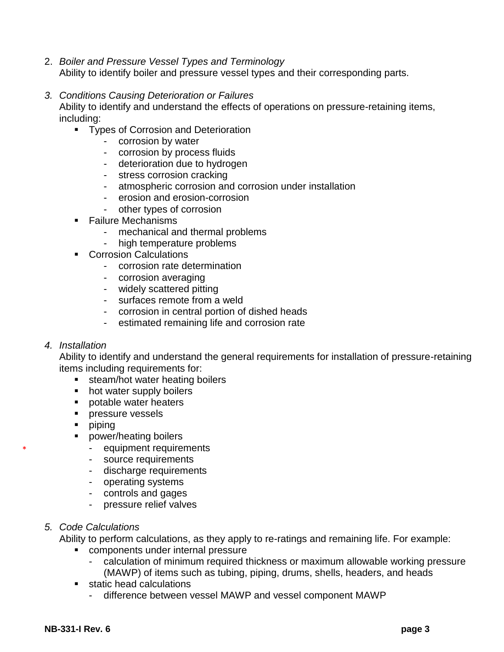- 2. *Boiler and Pressure Vessel Types and Terminology* Ability to identify boiler and pressure vessel types and their corresponding parts.
- *3. Conditions Causing Deterioration or Failures*

Ability to identify and understand the effects of operations on pressure-retaining items, including:

- **Types of Corrosion and Deterioration** 
	- corrosion by water
	- corrosion by process fluids
	- deterioration due to hydrogen
	- stress corrosion cracking
	- atmospheric corrosion and corrosion under installation
	- erosion and erosion-corrosion
	- other types of corrosion
- Failure Mechanisms
	- mechanical and thermal problems
	- high temperature problems
- **Corrosion Calculations** 
	- corrosion rate determination
	- corrosion averaging
	- widely scattered pitting
	- surfaces remote from a weld
	- corrosion in central portion of dished heads
	- estimated remaining life and corrosion rate

#### *4. Installation*

\*

Ability to identify and understand the general requirements for installation of pressure-retaining items including requirements for:

- **steam/hot water heating boilers**
- hot water supply boilers
- **potable water heaters**
- **pressure vessels**
- **piping**
- **Proming boilers** 
	- equipment requirements
	- source requirements
	- discharge requirements
	- operating systems
	- controls and gages
	- pressure relief valves
- *5. Code Calculations*

Ability to perform calculations, as they apply to re-ratings and remaining life. For example:

- components under internal pressure
	- calculation of minimum required thickness or maximum allowable working pressure (MAWP) of items such as tubing, piping, drums, shells, headers, and heads
- static head calculations
	- difference between vessel MAWP and vessel component MAWP